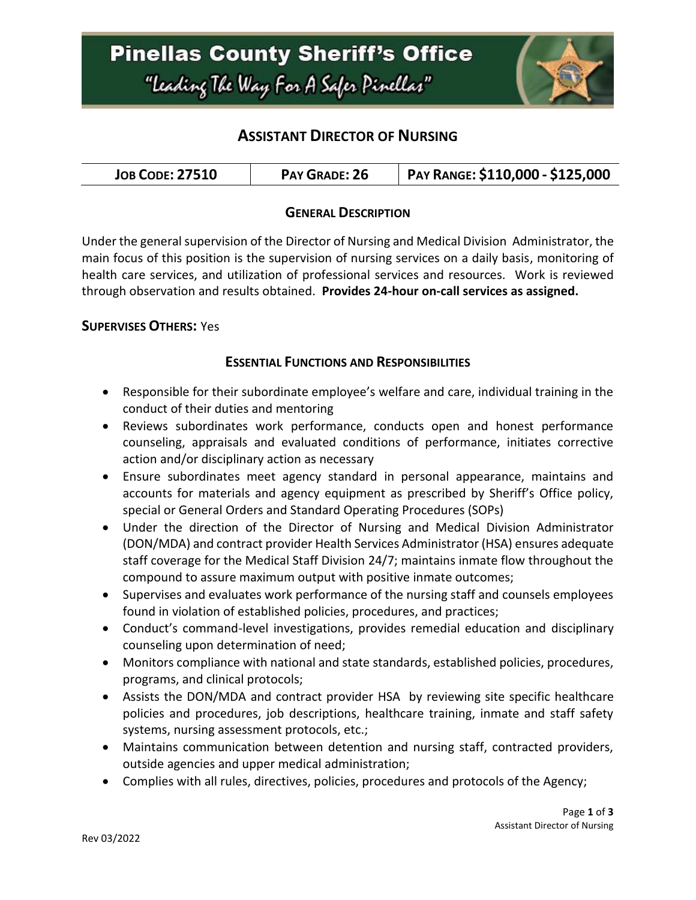

## **ASSISTANT DIRECTOR OF NURSING**

| PAY GRADE: 26<br><b>JOB CODE: 27510</b> | PAY RANGE: \$110,000 - \$125,000 |
|-----------------------------------------|----------------------------------|
|-----------------------------------------|----------------------------------|

### **GENERAL DESCRIPTION**

Under the general supervision of the Director of Nursing and Medical Division Administrator, the main focus of this position is the supervision of nursing services on a daily basis, monitoring of health care services, and utilization of professional services and resources. Work is reviewed through observation and results obtained. **Provides 24-hour on-call services as assigned.**

#### **SUPERVISES OTHERS:** Yes

#### **ESSENTIAL FUNCTIONS AND RESPONSIBILITIES**

- Responsible for their subordinate employee's welfare and care, individual training in the conduct of their duties and mentoring
- Reviews subordinates work performance, conducts open and honest performance counseling, appraisals and evaluated conditions of performance, initiates corrective action and/or disciplinary action as necessary
- Ensure subordinates meet agency standard in personal appearance, maintains and accounts for materials and agency equipment as prescribed by Sheriff's Office policy, special or General Orders and Standard Operating Procedures (SOPs)
- Under the direction of the Director of Nursing and Medical Division Administrator (DON/MDA) and contract provider Health Services Administrator (HSA) ensures adequate staff coverage for the Medical Staff Division 24/7; maintains inmate flow throughout the compound to assure maximum output with positive inmate outcomes;
- Supervises and evaluates work performance of the nursing staff and counsels employees found in violation of established policies, procedures, and practices;
- Conduct's command-level investigations, provides remedial education and disciplinary counseling upon determination of need;
- Monitors compliance with national and state standards, established policies, procedures, programs, and clinical protocols;
- Assists the DON/MDA and contract provider HSA by reviewing site specific healthcare policies and procedures, job descriptions, healthcare training, inmate and staff safety systems, nursing assessment protocols, etc.;
- Maintains communication between detention and nursing staff, contracted providers, outside agencies and upper medical administration;
- Complies with all rules, directives, policies, procedures and protocols of the Agency;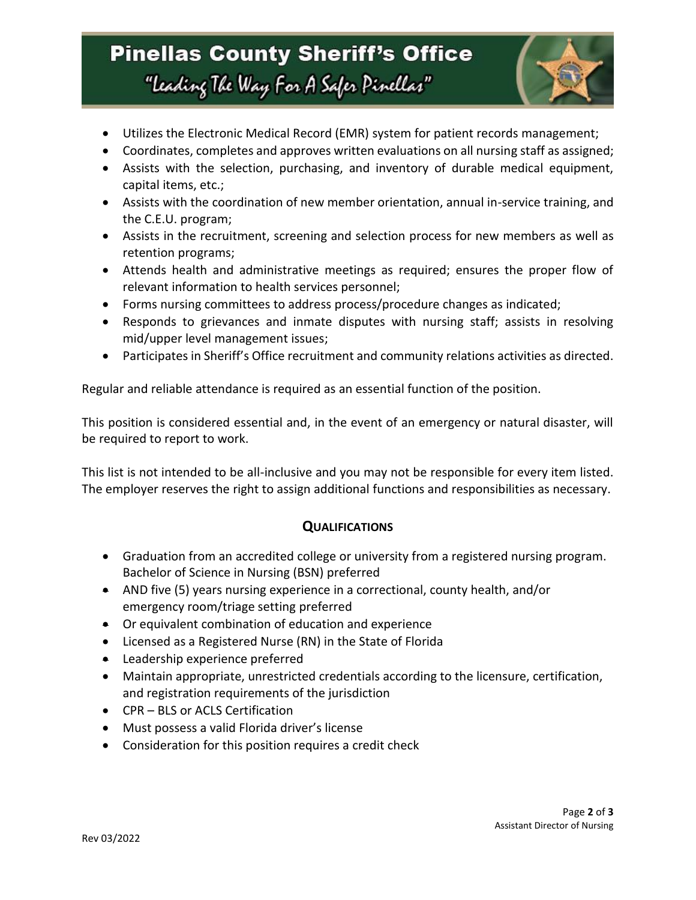# **Pinellas County Sheriff's Office** "Leading The Way For A Safer Pinellar"



- Utilizes the Electronic Medical Record (EMR) system for patient records management;
- Coordinates, completes and approves written evaluations on all nursing staff as assigned;
- Assists with the selection, purchasing, and inventory of durable medical equipment, capital items, etc.;
- Assists with the coordination of new member orientation, annual in-service training, and the C.E.U. program;
- Assists in the recruitment, screening and selection process for new members as well as retention programs;
- Attends health and administrative meetings as required; ensures the proper flow of relevant information to health services personnel;
- Forms nursing committees to address process/procedure changes as indicated;
- Responds to grievances and inmate disputes with nursing staff; assists in resolving mid/upper level management issues;
- Participates in Sheriff's Office recruitment and community relations activities as directed.

Regular and reliable attendance is required as an essential function of the position.

This position is considered essential and, in the event of an emergency or natural disaster, will be required to report to work.

This list is not intended to be all-inclusive and you may not be responsible for every item listed. The employer reserves the right to assign additional functions and responsibilities as necessary.

### **QUALIFICATIONS**

- Graduation from an accredited college or university from a registered nursing program. Bachelor of Science in Nursing (BSN) preferred
- AND five (5) years nursing experience in a correctional, county health, and/or emergency room/triage setting preferred
- Or equivalent combination of education and experience
- Licensed as a Registered Nurse (RN) in the State of Florida
- **•** Leadership experience preferred
- Maintain appropriate, unrestricted credentials according to the licensure, certification, and registration requirements of the jurisdiction
- CPR BLS or ACLS Certification
- Must possess a valid Florida driver's license
- Consideration for this position requires a credit check